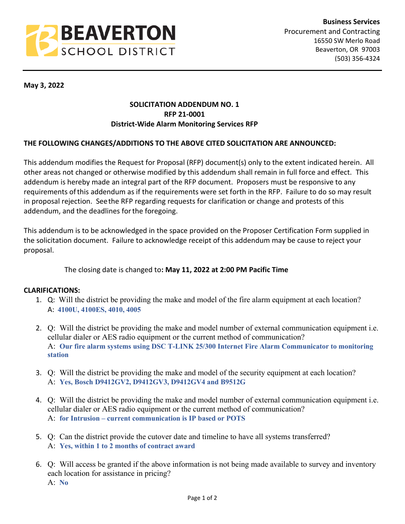

**May 3, 2022**

## **SOLICITATION ADDENDUM NO. 1 RFP 21-0001 District-Wide Alarm Monitoring Services RFP**

## **THE FOLLOWING CHANGES/ADDITIONS TO THE ABOVE CITED SOLICITATION ARE ANNOUNCED:**

This addendum modifies the Request for Proposal (RFP) document(s) only to the extent indicated herein. All other areas not changed or otherwise modified by this addendum shall remain in full force and effect. This addendum is hereby made an integral part of the RFP document. Proposers must be responsive to any requirements ofthis addendum as if the requirements were set forth in the RFP. Failure to do so may result in proposal rejection. Seethe RFP regarding requests for clarification or change and protests of this addendum, and the deadlines forthe foregoing.

This addendum is to be acknowledged in the space provided on the Proposer Certification Form supplied in the solicitation document. Failure to acknowledge receipt of this addendum may be cause to reject your proposal.

The closing date is changed to**: May 11, 2022 at 2:00 PM Pacific Time**

## **CLARIFICATIONS:**

- 1. Q: Will the district be providing the make and model of the fire alarm equipment at each location? A: **4100U, 4100ES, 4010, 4005**
- 2. Q: Will the district be providing the make and model number of external communication equipment i.e. cellular dialer or AES radio equipment or the current method of communication? A: **Our fire alarm systems using DSC T-LINK 25/300 Internet Fire Alarm Communicator to monitoring station**
- 3. Q: Will the district be providing the make and model of the security equipment at each location? A: **Yes, Bosch D9412GV2, D9412GV3, D9412GV4 and B9512G**
- 4. Q: Will the district be providing the make and model number of external communication equipment i.e. cellular dialer or AES radio equipment or the current method of communication? A: **for Intrusion – current communication is IP based or POTS**
- 5. Q: Can the district provide the cutover date and timeline to have all systems transferred? A: **Yes, within 1 to 2 months of contract award**
- 6. Q: Will access be granted if the above information is not being made available to survey and inventory each location for assistance in pricing? A: **No**